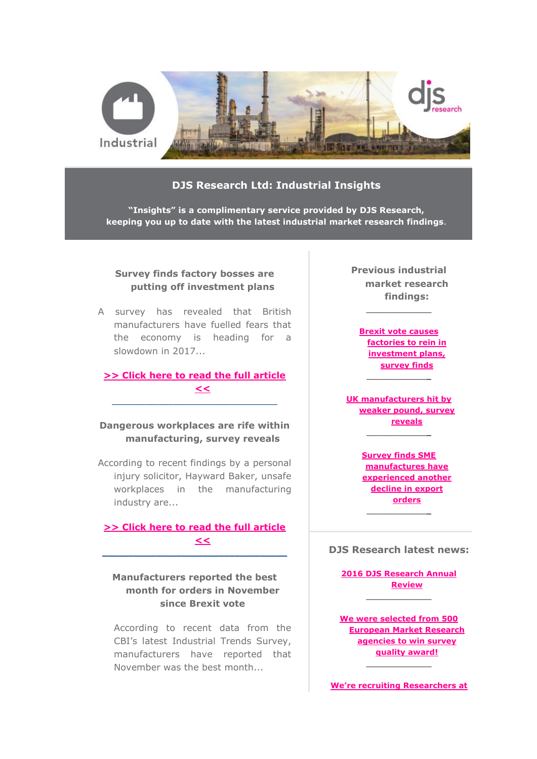

# **DJS Research Ltd: Industrial Insights**

**"Insights" is a complimentary service provided by DJS Research, keeping you up to date with the latest industrial market research findings**.

#### **Survey finds factory bosses are putting off investment plans**

A survey has revealed that British manufacturers have fuelled fears that the economy is heading for a slowdown in 2017...

### **[>> Click here to read the full article](http://www.djsresearch.co.uk/IndustrialMarketResearchInsightsAndFindings/article/Survey-finds-factory-bosses-are-putting-off-investment-plans-03362)  [<<](http://www.djsresearch.co.uk/IndustrialMarketResearchInsightsAndFindings/article/Survey-finds-factory-bosses-are-putting-off-investment-plans-03362)**

\_\_\_\_\_\_\_\_\_\_\_\_\_\_\_\_\_\_\_\_\_\_\_\_\_\_\_\_\_\_\_\_\_\_\_

**Dangerous workplaces are rife within manufacturing, survey reveals**

According to recent findings by a personal injury solicitor, Hayward Baker, unsafe workplaces in the manufacturing industry are...

**[>> Click here to read the full article](http://www.djsresearch.co.uk/IndustrialMarketResearchInsightsAndFindings/article/Dangerous-workplaces-are-rife-within-manufacturing-survey-reveals-03333)  [<<](http://www.djsresearch.co.uk/IndustrialMarketResearchInsightsAndFindings/article/Dangerous-workplaces-are-rife-within-manufacturing-survey-reveals-03333) \_\_\_\_\_\_\_\_\_\_\_\_\_\_\_\_\_\_\_\_\_\_\_\_\_\_\_\_\_\_\_\_\_\_\_**

# **Manufacturers reported the best month for orders in November since Brexit vote**

According to recent data from the CBI's latest Industrial Trends Survey, manufacturers have reported that November was the best month...

**Previous industrial market research findings:**

**\_\_\_\_\_\_\_\_\_\_\_\_**

**[Brexit vote causes](http://www.djsresearch.co.uk/IndustrialMarketResearchInsightsAndFindings/article/Brexit-vote-causes-factories-to-rein-in-investment-plans-survey-finds-03294)  [factories to rein in](http://www.djsresearch.co.uk/IndustrialMarketResearchInsightsAndFindings/article/Brexit-vote-causes-factories-to-rein-in-investment-plans-survey-finds-03294)  [investment plans,](http://www.djsresearch.co.uk/IndustrialMarketResearchInsightsAndFindings/article/Brexit-vote-causes-factories-to-rein-in-investment-plans-survey-finds-03294)  [survey finds](http://www.djsresearch.co.uk/IndustrialMarketResearchInsightsAndFindings/article/Brexit-vote-causes-factories-to-rein-in-investment-plans-survey-finds-03294) \_\_\_\_\_\_\_\_\_\_\_\_**

**[UK manufacturers hit by](http://www.djsresearch.co.uk/IndustrialMarketResearchInsightsAndFindings/article/UK-manufacturers-hit-by-weaker-pound-survey-reveals-03214)  [weaker pound, survey](http://www.djsresearch.co.uk/IndustrialMarketResearchInsightsAndFindings/article/UK-manufacturers-hit-by-weaker-pound-survey-reveals-03214)  [reveals](http://www.djsresearch.co.uk/IndustrialMarketResearchInsightsAndFindings/article/UK-manufacturers-hit-by-weaker-pound-survey-reveals-03214) \_\_\_\_\_\_\_\_\_\_\_\_**

> **[Survey finds SME](http://www.djsresearch.co.uk/IndustrialMarketResearchInsightsAndFindings/article/Survey-finds-SME-manufactures-have-experienced-another-decline-in-export-orders-03111)  [manufactures have](http://www.djsresearch.co.uk/IndustrialMarketResearchInsightsAndFindings/article/Survey-finds-SME-manufactures-have-experienced-another-decline-in-export-orders-03111)  [experienced another](http://www.djsresearch.co.uk/IndustrialMarketResearchInsightsAndFindings/article/Survey-finds-SME-manufactures-have-experienced-another-decline-in-export-orders-03111)  [decline in export](http://www.djsresearch.co.uk/IndustrialMarketResearchInsightsAndFindings/article/Survey-finds-SME-manufactures-have-experienced-another-decline-in-export-orders-03111)  [orders](http://www.djsresearch.co.uk/IndustrialMarketResearchInsightsAndFindings/article/Survey-finds-SME-manufactures-have-experienced-another-decline-in-export-orders-03111) \_\_\_\_\_\_\_\_\_\_\_\_**

#### **DJS Research latest news:**

**[2016 DJS Research Annual](http://www.djsresearch.co.uk/news/article/2016-DJS-Research-Annual-Review)  [Review](http://www.djsresearch.co.uk/news/article/2016-DJS-Research-Annual-Review) \_\_\_\_\_\_\_\_\_\_\_\_**

**[We were selected from 500](http://www.djsresearch.co.uk/news/article/We-were-selected-from-500-European-Market-Research-agencies-to-win-survey-quality-award)  [European Market Research](http://www.djsresearch.co.uk/news/article/We-were-selected-from-500-European-Market-Research-agencies-to-win-survey-quality-award)  [agencies to win survey](http://www.djsresearch.co.uk/news/article/We-were-selected-from-500-European-Market-Research-agencies-to-win-survey-quality-award)  [quality award!](http://www.djsresearch.co.uk/news/article/We-were-selected-from-500-European-Market-Research-agencies-to-win-survey-quality-award)**

**[We're recruiting Researchers at](http://www.djsresearch.co.uk/news/article/Were-recruiting-Researchers-at-different-levels)** 

**\_\_\_\_\_\_\_\_\_\_\_\_**